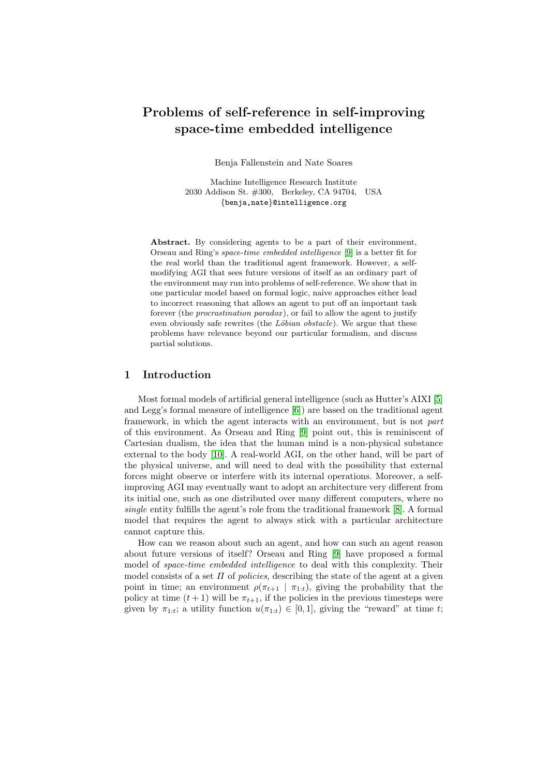# Problems of self-reference in self-improving space-time embedded intelligence

Benja Fallenstein and Nate Soares

Machine Intelligence Research Institute 2030 Addison St. #300, Berkeley, CA 94704, USA {benja,nate}@intelligence.org

Abstract. By considering agents to be a part of their environment, Orseau and Ring's space-time embedded intelligence [\[9\]](#page-9-0) is a better fit for the real world than the traditional agent framework. However, a selfmodifying AGI that sees future versions of itself as an ordinary part of the environment may run into problems of self-reference. We show that in one particular model based on formal logic, naive approaches either lead to incorrect reasoning that allows an agent to put off an important task forever (the procrastination paradox ), or fail to allow the agent to justify even obviously safe rewrites (the  $L\ddot{\rho}$  obstacle). We argue that these problems have relevance beyond our particular formalism, and discuss partial solutions.

## 1 Introduction

Most formal models of artificial general intelligence (such as Hutter's AIXI [\[5\]](#page-9-1) and Legg's formal measure of intelligence [\[6\]](#page-9-2)) are based on the traditional agent framework, in which the agent interacts with an environment, but is not part of this environment. As Orseau and Ring [\[9\]](#page-9-0) point out, this is reminiscent of Cartesian dualism, the idea that the human mind is a non-physical substance external to the body [\[10\]](#page-9-3). A real-world AGI, on the other hand, will be part of the physical universe, and will need to deal with the possibility that external forces might observe or interfere with its internal operations. Moreover, a selfimproving AGI may eventually want to adopt an architecture very different from its initial one, such as one distributed over many different computers, where no single entity fulfills the agent's role from the traditional framework [\[8\]](#page-9-4). A formal model that requires the agent to always stick with a particular architecture cannot capture this.

How can we reason about such an agent, and how can such an agent reason about future versions of itself? Orseau and Ring [\[9\]](#page-9-0) have proposed a formal model of *space-time embedded intelligence* to deal with this complexity. Their model consists of a set  $\Pi$  of policies, describing the state of the agent at a given point in time; an environment  $\rho(\pi_{t+1} | \pi_{1:t})$ , giving the probability that the policy at time  $(t + 1)$  will be  $\pi_{t+1}$ , if the policies in the previous timesteps were given by  $\pi_{1:t}$ ; a utility function  $u(\pi_{1:t}) \in [0,1]$ , giving the "reward" at time t;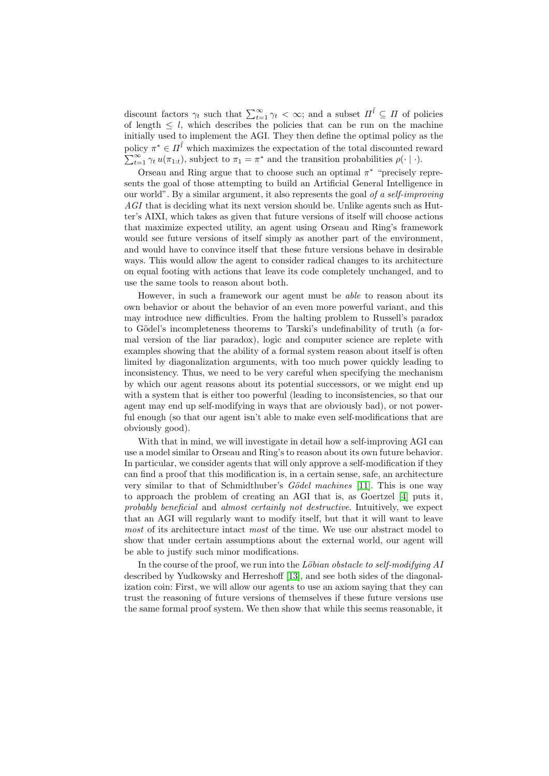discount factors  $\gamma_t$  such that  $\sum_{t=1}^{\infty} \gamma_t < \infty$ ; and a subset  $\Pi^{\tilde{l}} \subseteq \Pi$  of policies of length  $\leq l$ , which describes the policies that can be run on the machine initially used to implement the AGI. They then define the optimal policy as the policy  $\pi^* \in H^{\tilde{l}}$  which maximizes the expectation of the total discounted reward  $\sum_{t=1}^{\infty} \gamma_t u(\pi_{1:t}),$  subject to  $\pi_1 = \pi^*$  and the transition probabilities  $\rho(\cdot | \cdot).$ 

Orseau and Ring argue that to choose such an optimal  $\pi^*$  "precisely represents the goal of those attempting to build an Artificial General Intelligence in our world". By a similar argument, it also represents the goal of a self-improving AGI that is deciding what its next version should be. Unlike agents such as Hutter's AIXI, which takes as given that future versions of itself will choose actions that maximize expected utility, an agent using Orseau and Ring's framework would see future versions of itself simply as another part of the environment, and would have to convince itself that these future versions behave in desirable ways. This would allow the agent to consider radical changes to its architecture on equal footing with actions that leave its code completely unchanged, and to use the same tools to reason about both.

However, in such a framework our agent must be able to reason about its own behavior or about the behavior of an even more powerful variant, and this may introduce new difficulties. From the halting problem to Russell's paradox to Gödel's incompleteness theorems to Tarski's undefinability of truth (a formal version of the liar paradox), logic and computer science are replete with examples showing that the ability of a formal system reason about itself is often limited by diagonalization arguments, with too much power quickly leading to inconsistency. Thus, we need to be very careful when specifying the mechanism by which our agent reasons about its potential successors, or we might end up with a system that is either too powerful (leading to inconsistencies, so that our agent may end up self-modifying in ways that are obviously bad), or not powerful enough (so that our agent isn't able to make even self-modifications that are obviously good).

With that in mind, we will investigate in detail how a self-improving AGI can use a model similar to Orseau and Ring's to reason about its own future behavior. In particular, we consider agents that will only approve a self-modification if they can find a proof that this modification is, in a certain sense, safe, an architecture very similar to that of Schmidthuber's  $Gödel$  machines [\[11\]](#page-9-5). This is one way to approach the problem of creating an AGI that is, as Goertzel [\[4\]](#page-9-6) puts it, probably beneficial and almost certainly not destructive. Intuitively, we expect that an AGI will regularly want to modify itself, but that it will want to leave most of its architecture intact most of the time. We use our abstract model to show that under certain assumptions about the external world, our agent will be able to justify such minor modifications.

In the course of the proof, we run into the Löbian obstacle to self-modifying  $AI$ described by Yudkowsky and Herreshoff [\[13\]](#page-9-7), and see both sides of the diagonalization coin: First, we will allow our agents to use an axiom saying that they can trust the reasoning of future versions of themselves if these future versions use the same formal proof system. We then show that while this seems reasonable, it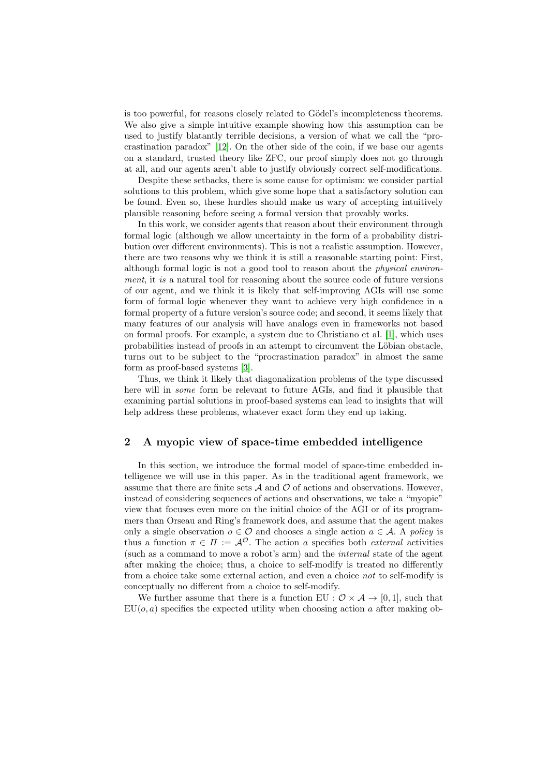is too powerful, for reasons closely related to Gödel's incompleteness theorems. We also give a simple intuitive example showing how this assumption can be used to justify blatantly terrible decisions, a version of what we call the "procrastination paradox" [\[12\]](#page-9-8). On the other side of the coin, if we base our agents on a standard, trusted theory like ZFC, our proof simply does not go through at all, and our agents aren't able to justify obviously correct self-modifications.

Despite these setbacks, there is some cause for optimism: we consider partial solutions to this problem, which give some hope that a satisfactory solution can be found. Even so, these hurdles should make us wary of accepting intuitively plausible reasoning before seeing a formal version that provably works.

In this work, we consider agents that reason about their environment through formal logic (although we allow uncertainty in the form of a probability distribution over different environments). This is not a realistic assumption. However, there are two reasons why we think it is still a reasonable starting point: First, although formal logic is not a good tool to reason about the physical environment, it is a natural tool for reasoning about the source code of future versions of our agent, and we think it is likely that self-improving AGIs will use some form of formal logic whenever they want to achieve very high confidence in a formal property of a future version's source code; and second, it seems likely that many features of our analysis will have analogs even in frameworks not based on formal proofs. For example, a system due to Christiano et al. [\[1\]](#page-9-9), which uses probabilities instead of proofs in an attempt to circumvent the Löbian obstacle, turns out to be subject to the "procrastination paradox" in almost the same form as proof-based systems [\[3\]](#page-9-10).

Thus, we think it likely that diagonalization problems of the type discussed here will in some form be relevant to future AGIs, and find it plausible that examining partial solutions in proof-based systems can lead to insights that will help address these problems, whatever exact form they end up taking.

## 2 A myopic view of space-time embedded intelligence

In this section, we introduce the formal model of space-time embedded intelligence we will use in this paper. As in the traditional agent framework, we assume that there are finite sets  $A$  and  $O$  of actions and observations. However, instead of considering sequences of actions and observations, we take a "myopic" view that focuses even more on the initial choice of the AGI or of its programmers than Orseau and Ring's framework does, and assume that the agent makes only a single observation  $o \in \mathcal{O}$  and chooses a single action  $a \in \mathcal{A}$ . A policy is thus a function  $\pi \in \Pi := \mathcal{A}^{\mathcal{O}}$ . The action a specifies both *external* activities (such as a command to move a robot's arm) and the internal state of the agent after making the choice; thus, a choice to self-modify is treated no differently from a choice take some external action, and even a choice not to self-modify is conceptually no different from a choice to self-modify.

We further assume that there is a function EU :  $\mathcal{O} \times \mathcal{A} \rightarrow [0,1]$ , such that  $EU(o, a)$  specifies the expected utility when choosing action a after making ob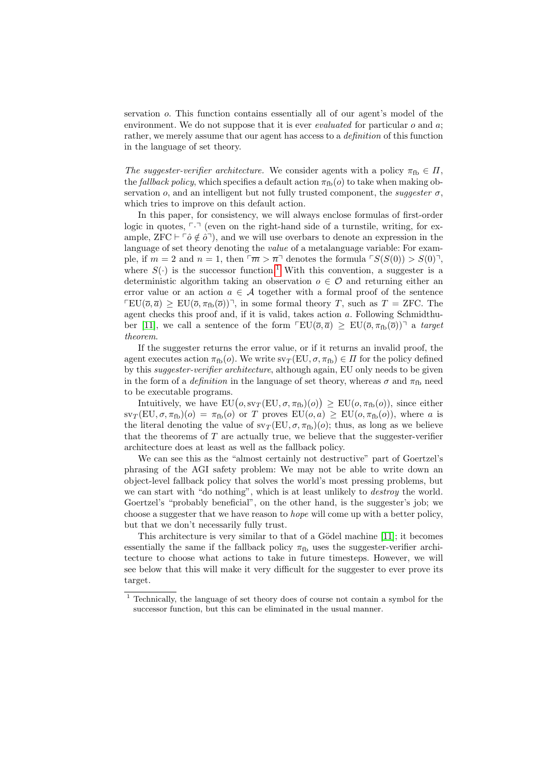servation o. This function contains essentially all of our agent's model of the environment. We do not suppose that it is ever *evaluated* for particular  $o$  and  $a$ ; rather, we merely assume that our agent has access to a *definition* of this function in the language of set theory.

The suggester-verifier architecture. We consider agents with a policy  $\pi_{\text{fb}} \in \Pi$ , the fallback policy, which specifies a default action  $\pi_{\text{fb}}(o)$  to take when making observation  $o$ , and an intelligent but not fully trusted component, the *suggester*  $\sigma$ , which tries to improve on this default action.

In this paper, for consistency, we will always enclose formulas of first-order logic in quotes,  $\lceil \cdot \rceil$  (even on the right-hand side of a turnstile, writing, for example,  $ZFC \vdash \ulcorner \hat{o} \notin \hat{o} \urcorner$ , and we will use overbars to denote an expression in the language of set theory denoting the *value* of a metalanguage variable: For example, if  $m = 2$  and  $n = 1$ , then  $\lceil \overline{m} \rceil$  denotes the formula  $\lceil S(S(0)) \rceil$ , where  $S(\cdot)$  is the successor function.<sup>[1](#page-3-0)</sup> With this convention, a suggester is a deterministic algorithm taking an observation  $o \in \mathcal{O}$  and returning either an error value or an action  $a \in \mathcal{A}$  together with a formal proof of the sentence  $\text{TEU}(\overline{o}, \overline{a}) > \text{EU}(\overline{o}, \pi_{\text{fb}}(\overline{o}))$ , in some formal theory T, such as  $T = \text{ZFC}$ . The agent checks this proof and, if it is valid, takes action  $a$ . Following Schmidthu-ber [\[11\]](#page-9-5), we call a sentence of the form  $\text{FLU}(\overline{o}, \overline{a}) \geq \text{EU}(\overline{o}, \pi_{\text{fb}}(\overline{o}))^{\text{T}}$  a target theorem.

If the suggester returns the error value, or if it returns an invalid proof, the agent executes action  $\pi_{\text{fb}}(o)$ . We write  $s\nu_{\text{T}}(\text{EU}, \sigma, \pi_{\text{fb}}) \in \Pi$  for the policy defined by this suggester-verifier architecture, although again, EU only needs to be given in the form of a *definition* in the language of set theory, whereas  $\sigma$  and  $\pi_{\text{fb}}$  need to be executable programs.

Intuitively, we have  $EU(o, sv_T(EU, \sigma, \pi_{fb})(o)) \geq EU(o, \pi_{fb}(o)),$  since either  $\text{sv}_T(\text{EU}, \sigma, \pi_{\text{fb}})(o) = \pi_{\text{fb}}(o)$  or T proves  $\text{EU}(o, a) \geq \text{EU}(o, \pi_{\text{fb}}(o))$ , where a is the literal denoting the value of  $sv_T(EU, \sigma, \pi_{fb})(o)$ ; thus, as long as we believe that the theorems of  $T$  are actually true, we believe that the suggester-verifier architecture does at least as well as the fallback policy.

We can see this as the "almost certainly not destructive" part of Goertzel's phrasing of the AGI safety problem: We may not be able to write down an object-level fallback policy that solves the world's most pressing problems, but we can start with "do nothing", which is at least unlikely to *destroy* the world. Goertzel's "probably beneficial", on the other hand, is the suggester's job; we choose a suggester that we have reason to hope will come up with a better policy, but that we don't necessarily fully trust.

This architecture is very similar to that of a Gödel machine [\[11\]](#page-9-5); it becomes essentially the same if the fallback policy  $\pi_{\text{fb}}$  uses the suggester-verifier architecture to choose what actions to take in future timesteps. However, we will see below that this will make it very difficult for the suggester to ever prove its target.

<span id="page-3-0"></span> $^{\rm 1}$  Technically, the language of set theory does of course not contain a symbol for the successor function, but this can be eliminated in the usual manner.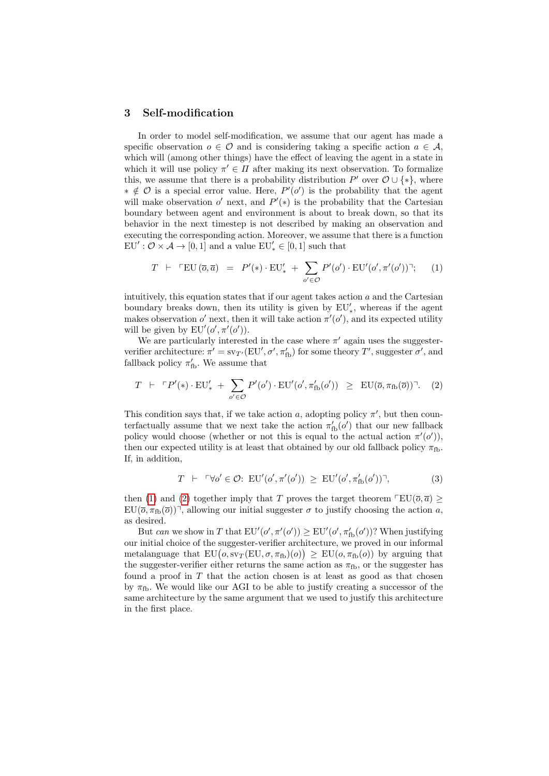#### <span id="page-4-2"></span>3 Self-modification

In order to model self-modification, we assume that our agent has made a specific observation  $o \in \mathcal{O}$  and is considering taking a specific action  $a \in \mathcal{A}$ , which will (among other things) have the effect of leaving the agent in a state in which it will use policy  $\pi' \in \Pi$  after making its next observation. To formalize this, we assume that there is a probability distribution  $P'$  over  $\mathcal{O} \cup \{*\}$ , where  $\ast \notin \mathcal{O}$  is a special error value. Here,  $P'(o')$  is the probability that the agent will make observation  $o'$  next, and  $P'(*)$  is the probability that the Cartesian boundary between agent and environment is about to break down, so that its behavior in the next timestep is not described by making an observation and executing the corresponding action. Moreover, we assume that there is a function  $EU': \mathcal{O} \times \mathcal{A} \to [0,1]$  and a value  $EU'_* \in [0,1]$  such that

<span id="page-4-0"></span>
$$
T \ \vdash \ \ulcorner \operatorname{EU}(\overline{o}, \overline{a}) \ = \ P'(*) \cdot \operatorname{EU}_*' \ + \ \sum_{o' \in \mathcal{O}} P'(o') \cdot \operatorname{EU}'(o', \pi'(o')) \urcorner; \tag{1}
$$

intuitively, this equation states that if our agent takes action  $a$  and the Cartesian boundary breaks down, then its utility is given by  $EU'_*$ , whereas if the agent makes observation o' next, then it will take action  $\pi'(\mathfrak{o}')$ , and its expected utility will be given by  $EU'(\rho', \pi'(\rho')).$ 

We are particularly interested in the case where  $\pi'$  again uses the suggesterverifier architecture:  $\pi' = s v_{T'}(EU', \sigma', \pi'_{\text{fb}})$  for some theory  $T'$ , suggester  $\sigma'$ , and fallback policy  $\pi'_{\text{fb}}$ . We assume that

<span id="page-4-1"></span>
$$
T \ \vdash \ \ulcorner P'(*) \cdot \mathrm{EU}'_* \ + \ \sum_{o' \in \mathcal{O}} P'(o') \cdot \mathrm{EU}'(o', \pi'_{\mathrm{fb}}(o')) \ \geq \ \mathrm{EU}(\overline{o}, \pi_{\mathrm{fb}}(\overline{o})) \ \cdot \ \ (2)
$$

This condition says that, if we take action a, adopting policy  $\pi'$ , but then counterfactually assume that we next take the action  $\pi'_{\text{fb}}(o')$  that our new fallback policy would choose (whether or not this is equal to the actual action  $\pi'(o')$ ), then our expected utility is at least that obtained by our old fallback policy  $\pi_{\text{fb}}$ . If, in addition,

$$
T \ \vdash \ \ulcorner \forall o' \in \mathcal{O}: \ \mathrm{EU}'(o', \pi'(o')) \ \ge \ \mathrm{EU}'(o', \pi'_{\mathrm{fb}}(o')) \urcorner,
$$
 (3)

then [\(1\)](#page-4-0) and [\(2\)](#page-4-1) together imply that T proves the target theorem  $\sqrt{\text{EU}(\bar{o}, \bar{a})} \ge$  $EU(\overline{o}, \pi_{\text{fb}}(\overline{o}))$ <sup>7</sup>, allowing our initial suggester  $\sigma$  to justify choosing the action a, as desired.

But can we show in T that  $EU'(o', \pi'(o')) \ge EU'(o', \pi'_{\text{fb}}(o'))$ ? When justifying our initial choice of the suggester-verifier architecture, we proved in our informal metalanguage that  $EU(o, sv_T(EU, \sigma, \pi_{fb})(o)) \geq EU(o, \pi_{fb}(o))$  by arguing that the suggester-verifier either returns the same action as  $\pi_{\text{fb}}$ , or the suggester has found a proof in  $T$  that the action chosen is at least as good as that chosen by  $\pi_{\text{fb}}$ . We would like our AGI to be able to justify creating a successor of the same architecture by the same argument that we used to justify this architecture in the first place.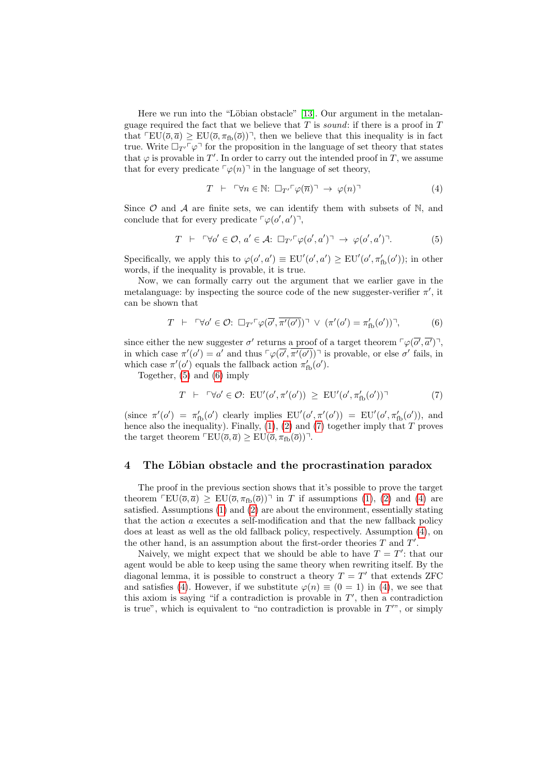Here we run into the "Löbian obstacle" [\[13\]](#page-9-7). Our argument in the metalanguage required the fact that we believe that  $T$  is sound: if there is a proof in  $T$ that  $\text{TEU}(\overline{o}, \overline{a}) \geq \text{EU}(\overline{o}, \pi_{\text{fb}}(\overline{o}))$ , then we believe that this inequality is in fact true. Write  $\Box_{T'}\ulcorner\varphi\urcorner$  for the proposition in the language of set theory that states that  $\varphi$  is provable in T'. In order to carry out the intended proof in T, we assume that for every predicate  $\lceil \varphi(n) \rceil$  in the language of set theory,

<span id="page-5-3"></span>
$$
T \ \vdash \ \ulcorner \forall n \in \mathbb{N}: \ \Box_{T'} \ulcorner \varphi(\overline{n}) \urcorner \ \to \ \varphi(n) \urcorner \tag{4}
$$

Since  $\mathcal O$  and  $\mathcal A$  are finite sets, we can identify them with subsets of N, and conclude that for every predicate  $\lceil \varphi(o', a') \rceil$ ,

<span id="page-5-0"></span>
$$
T \ \vdash \ \ulcorner \forall o' \in \mathcal{O}, \ a' \in \mathcal{A} \colon \Box_{T'} \ulcorner \varphi(o', a') \urcorner \ \to \ \varphi(o', a') \urcorner. \tag{5}
$$

Specifically, we apply this to  $\varphi$ (*o'*, *a'*)  $\equiv$  EU'(*o'*, *a'*)  $\geq$  EU'(*o'*,  $\pi'_{\text{fb}}(o')$ ); in other words, if the inequality is provable, it is true.

Now, we can formally carry out the argument that we earlier gave in the metalanguage: by inspecting the source code of the new suggester-verifier  $\pi'$ , it can be shown that

<span id="page-5-1"></span>
$$
T \ \vdash \ \ulcorner \forall o' \in \mathcal{O}: \ \Box_{T'} \ulcorner \varphi(\overline{o'}, \overline{\pi'(o')}) \urcorner \ \lor \ (\pi'(o') = \pi'_{\text{fb}}(o')) \urcorner,
$$

since either the new suggester  $\sigma'$  returns a proof of a target theorem  $\lceil \varphi(\overline{\sigma'}, \overline{\alpha'}) \rceil$ , in which case  $\pi'(o') = a'$  and thus  $\lceil \varphi(\overline{o'}, \overline{\pi'(o')}) \rceil$  is provable, or else  $o'$  fails, in which case  $\pi'(o')$  equals the fallback action  $\pi'_{\text{fb}}(o')$ .

Together, [\(5\)](#page-5-0) and [\(6\)](#page-5-1) imply

<span id="page-5-2"></span>
$$
T \ \vdash \ \ulcorner \forall o' \in \mathcal{O}: \ \mathrm{EU}'(o', \pi'(o')) \ \ge \ \mathrm{EU}'(o', \pi'_{\mathrm{fb}}(o')) \ \urcorner \tag{7}
$$

(since  $\pi'(o') = \pi'_{\text{fb}}(o')$  clearly implies  $EU'(o', \pi'(o')) = EU'(o', \pi'_{\text{fb}}(o'))$ , and hence also the inequality). Finally,  $(1)$ ,  $(2)$  and  $(7)$  together imply that T proves the target theorem  $\sqrt{\text{EU}(\overline{o}, \overline{a})} \geq \text{EU}(\overline{o}, \pi_{\text{fb}}(\overline{o}))^T$ .

#### 4 The Löbian obstacle and the procrastination paradox

The proof in the previous section shows that it's possible to prove the target theorem  $\text{TEU}(\overline{o}, \overline{a}) \geq \text{EU}(\overline{o}, \pi_{\text{fb}}(\overline{o}))$  in T if assumptions [\(1\)](#page-4-0), [\(2\)](#page-4-1) and [\(4\)](#page-5-3) are satisfied. Assumptions [\(1\)](#page-4-0) and [\(2\)](#page-4-1) are about the environment, essentially stating that the action a executes a self-modification and that the new fallback policy does at least as well as the old fallback policy, respectively. Assumption [\(4\)](#page-5-3), on the other hand, is an assumption about the first-order theories  $T$  and  $T'$ .

Naively, we might expect that we should be able to have  $T = T'$ : that our agent would be able to keep using the same theory when rewriting itself. By the diagonal lemma, it is possible to construct a theory  $T = T'$  that extends ZFC and satisfies [\(4\)](#page-5-3). However, if we substitute  $\varphi(n) \equiv (0 = 1)$  in (4), we see that this axiom is saying "if a contradiction is provable in  $T'$ , then a contradiction is true", which is equivalent to "no contradiction is provable in  $T''$ ", or simply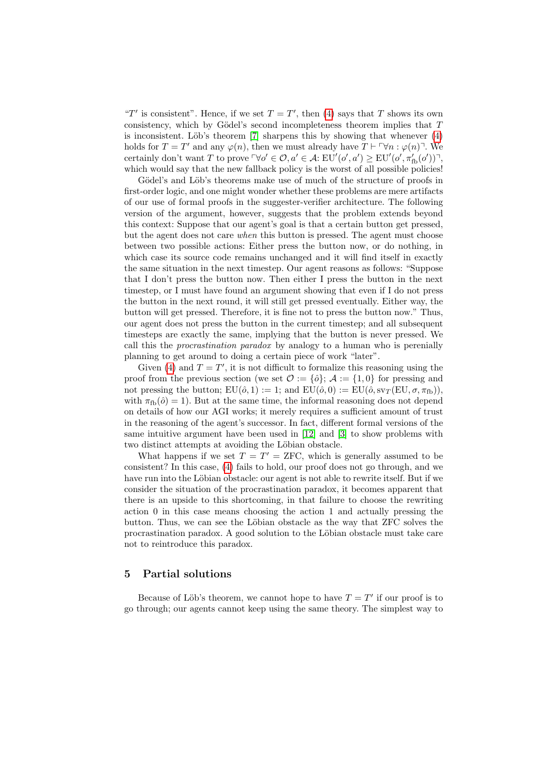"T' is consistent". Hence, if we set  $T = T'$ , then [\(4\)](#page-5-3) says that T shows its own consistency, which by Gödel's second incompleteness theorem implies that  $T$ is inconsistent. Löb's theorem  $[7]$  sharpens this by showing that whenever  $(4)$ holds for  $T = T'$  and any  $\varphi(n)$ , then we must already have  $T \vdash \ulcorner \forall n : \varphi(n) \urcorner$ . We certainly don't want T to prove  $\ulcorner \forall o' \in \mathcal{O}, a' \in \mathcal{A}$ :  $\text{EU}'(o', a') \geq \text{EU}'(o', \pi'_{\text{fb}}(o'))$ <sup> $\ulcorner$ </sup>, which would say that the new fallback policy is the worst of all possible policies!

Gödel's and Löb's theorems make use of much of the structure of proofs in first-order logic, and one might wonder whether these problems are mere artifacts of our use of formal proofs in the suggester-verifier architecture. The following version of the argument, however, suggests that the problem extends beyond this context: Suppose that our agent's goal is that a certain button get pressed, but the agent does not care when this button is pressed. The agent must choose between two possible actions: Either press the button now, or do nothing, in which case its source code remains unchanged and it will find itself in exactly the same situation in the next timestep. Our agent reasons as follows: "Suppose that I don't press the button now. Then either I press the button in the next timestep, or I must have found an argument showing that even if I do not press the button in the next round, it will still get pressed eventually. Either way, the button will get pressed. Therefore, it is fine not to press the button now." Thus, our agent does not press the button in the current timestep; and all subsequent timesteps are exactly the same, implying that the button is never pressed. We call this the procrastination paradox by analogy to a human who is perenially planning to get around to doing a certain piece of work "later".

Given [\(4\)](#page-5-3) and  $T = T'$ , it is not difficult to formalize this reasoning using the proof from the previous section (we set  $\mathcal{O} := {\delta}$ ;  $\mathcal{A} := {1, 0}$  for pressing and not pressing the button;  $EU(\hat{o}, 1) := 1$ ; and  $EU(\hat{o}, 0) := EU(\hat{o}, sv_T(EU, \sigma, \pi_{fb}))$ , with  $\pi_{\text{fb}}(\hat{o}) = 1$ . But at the same time, the informal reasoning does not depend on details of how our AGI works; it merely requires a sufficient amount of trust in the reasoning of the agent's successor. In fact, different formal versions of the same intuitive argument have been used in [\[12\]](#page-9-8) and [\[3\]](#page-9-10) to show problems with two distinct attempts at avoiding the Löbian obstacle.

What happens if we set  $T = T' = ZFC$ , which is generally assumed to be consistent? In this case, [\(4\)](#page-5-3) fails to hold, our proof does not go through, and we have run into the Löbian obstacle: our agent is not able to rewrite itself. But if we consider the situation of the procrastination paradox, it becomes apparent that there is an upside to this shortcoming, in that failure to choose the rewriting action 0 in this case means choosing the action 1 and actually pressing the button. Thus, we can see the Löbian obstacle as the way that ZFC solves the procrastination paradox. A good solution to the Löbian obstacle must take care not to reintroduce this paradox.

## 5 Partial solutions

Because of Löb's theorem, we cannot hope to have  $T = T'$  if our proof is to go through; our agents cannot keep using the same theory. The simplest way to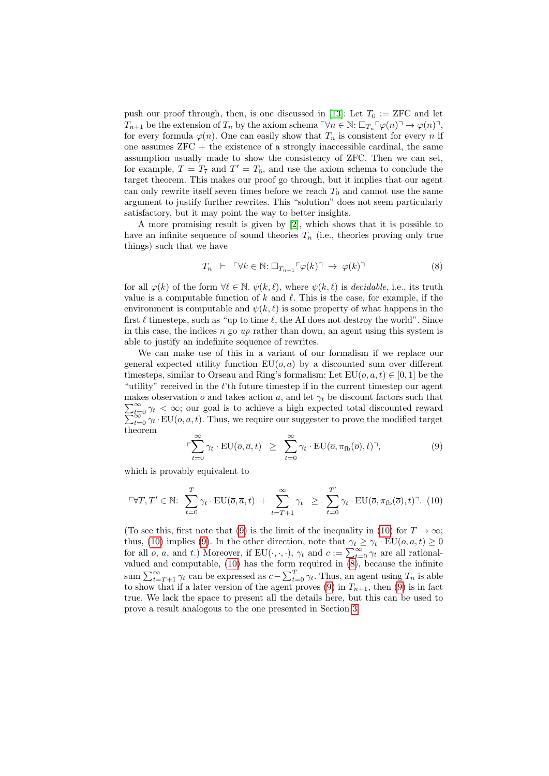push our proof through, then, is one discussed in [\[13\]](#page-9-7): Let  $T_0 := ZFC$  and let  $T_{n+1}$  be the extension of  $T_n$  by the axiom schema  $\nabla n \in \mathbb{N}$ :  $\Box_{T_n} \ulcorner \varphi(n) \urcorner \rightarrow \varphi(n) \urcorner$ , for every formula  $\varphi(n)$ . One can easily show that  $T_n$  is consistent for every n if one assumes  $ZFC +$  the existence of a strongly inaccessible cardinal, the same assumption usually made to show the consistency of ZFC. Then we can set, for example,  $T = T_7$  and  $T' = T_6$ , and use the axiom schema to conclude the target theorem. This makes our proof go through, but it implies that our agent can only rewrite itself seven times before we reach  $T_0$  and cannot use the same argument to justify further rewrites. This "solution" does not seem particularly satisfactory, but it may point the way to better insights.

A more promising result is given by [\[2\]](#page-9-12), which shows that it is possible to have an infinite sequence of sound theories  $T_n$  (i.e., theories proving only true things) such that we have

<span id="page-7-2"></span>
$$
T_n \ \vdash \ \ulcorner \forall k \in \mathbb{N}: \Box_{T_{n+1}} \ulcorner \varphi(k) \urcorner \ \to \ \varphi(k) \urcorner \tag{8}
$$

for all  $\varphi(k)$  of the form  $\forall \ell \in \mathbb{N}$ .  $\psi(k, \ell)$ , where  $\psi(k, \ell)$  is *decidable*, i.e., its truth value is a computable function of k and  $\ell$ . This is the case, for example, if the environment is computable and  $\psi(k, \ell)$  is some property of what happens in the first  $\ell$  timesteps, such as "up to time  $\ell$ , the AI does not destroy the world". Since in this case, the indices  $n$  go up rather than down, an agent using this system is able to justify an indefinite sequence of rewrites.

We can make use of this in a variant of our formalism if we replace our general expected utility function  $EU(o, a)$  by a discounted sum over different timesteps, similar to Orseau and Ring's formalism: Let  $EU(o, a, t) \in [0, 1]$  be the "utility" received in the  $t$ 'th future timestep if in the current timestep our agent  $\sum_{t=1}^{\infty}$ makes observation  $o$  and takes action  $a$ , and let  $\gamma_t$  be discount factors such that  $\sum_{t=0}^{t=0}$  $\sum_{t=0}^{\infty} \gamma_t < \infty$ ; our goal is to achieve a high expected total discounted reward  $\sum_{t=0}^{\infty} \gamma_t \cdot \text{EU}(o, a, t)$ . Thus, we require our suggester to prove the modified target theorem

<span id="page-7-0"></span>
$$
\ulcorner \sum_{t=0}^{\infty} \gamma_t \cdot \text{EU}(\overline{o}, \overline{a}, t) \geq \sum_{t=0}^{\infty} \gamma_t \cdot \text{EU}(\overline{o}, \pi_{\text{fb}}(\overline{o}), t)^\gamma, \tag{9}
$$

which is provably equivalent to

<span id="page-7-1"></span>
$$
\ulcorner \forall T, T' \in \mathbb{N}: \sum_{t=0}^{T} \gamma_t \cdot \mathrm{EU}(\overline{o}, \overline{a}, t) + \sum_{t=T+1}^{\infty} \gamma_t \geq \sum_{t=0}^{T'} \gamma_t \cdot \mathrm{EU}(\overline{o}, \pi_{\mathrm{fb}}(\overline{o}), t) \cdot \mathbb{N}.
$$
 (10)

(To see this, first note that [\(9\)](#page-7-0) is the limit of the inequality in [\(10\)](#page-7-1) for  $T \to \infty$ ; thus, [\(10\)](#page-7-1) implies [\(9\)](#page-7-0). In the other direction, note that  $\gamma_t \geq \gamma_t \cdot EU(o, a, t) \geq 0$ for all *o*, *a*, and *t*.) Moreover, if EU( $\cdot$ ,  $\cdot$ ,  $\cdot$ ),  $\gamma$ <sub>*t*</sub> and *c* :=  $\sum_{t=0}^{\infty} \gamma$ <sub>*t*</sub> are all rationalvalued and computable, [\(10\)](#page-7-1) has the form required in [\(8\)](#page-7-2), because the infinite sum  $\sum_{t=T+1}^{\infty} \gamma_t$  can be expressed as  $c - \sum_{t=0}^{T} \gamma_t$ . Thus, an agent using  $T_n$  is able to show that if a later version of the agent proves [\(9\)](#page-7-0) in  $T_{n+1}$ , then (9) is in fact true. We lack the space to present all the details here, but this can be used to prove a result analogous to the one presented in Section [3.](#page-4-2)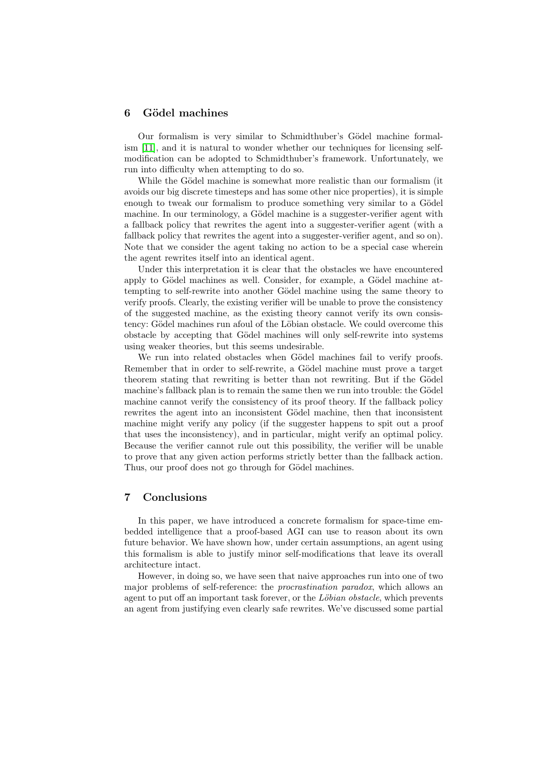#### 6 G¨odel machines

Our formalism is very similar to Schmidthuber's Gödel machine formalism [\[11\]](#page-9-5), and it is natural to wonder whether our techniques for licensing selfmodification can be adopted to Schmidthuber's framework. Unfortunately, we run into difficulty when attempting to do so.

While the Gödel machine is somewhat more realistic than our formalism (it avoids our big discrete timesteps and has some other nice properties), it is simple enough to tweak our formalism to produce something very similar to a Gödel machine. In our terminology, a Gödel machine is a suggester-verifier agent with a fallback policy that rewrites the agent into a suggester-verifier agent (with a fallback policy that rewrites the agent into a suggester-verifier agent, and so on). Note that we consider the agent taking no action to be a special case wherein the agent rewrites itself into an identical agent.

Under this interpretation it is clear that the obstacles we have encountered apply to Gödel machines as well. Consider, for example, a Gödel machine attempting to self-rewrite into another Gödel machine using the same theory to verify proofs. Clearly, the existing verifier will be unable to prove the consistency of the suggested machine, as the existing theory cannot verify its own consistency: Gödel machines run afoul of the Löbian obstacle. We could overcome this obstacle by accepting that Gödel machines will only self-rewrite into systems using weaker theories, but this seems undesirable.

We run into related obstacles when Gödel machines fail to verify proofs. Remember that in order to self-rewrite, a Gödel machine must prove a target theorem stating that rewriting is better than not rewriting. But if the Gödel machine's fallback plan is to remain the same then we run into trouble: the Gödel machine cannot verify the consistency of its proof theory. If the fallback policy rewrites the agent into an inconsistent Gödel machine, then that inconsistent machine might verify any policy (if the suggester happens to spit out a proof that uses the inconsistency), and in particular, might verify an optimal policy. Because the verifier cannot rule out this possibility, the verifier will be unable to prove that any given action performs strictly better than the fallback action. Thus, our proof does not go through for Gödel machines.

### 7 Conclusions

In this paper, we have introduced a concrete formalism for space-time embedded intelligence that a proof-based AGI can use to reason about its own future behavior. We have shown how, under certain assumptions, an agent using this formalism is able to justify minor self-modifications that leave its overall architecture intact.

However, in doing so, we have seen that naive approaches run into one of two major problems of self-reference: the procrastination paradox, which allows an agent to put off an important task forever, or the  $L\ddot{o}bian\ obstacle$ , which prevents an agent from justifying even clearly safe rewrites. We've discussed some partial